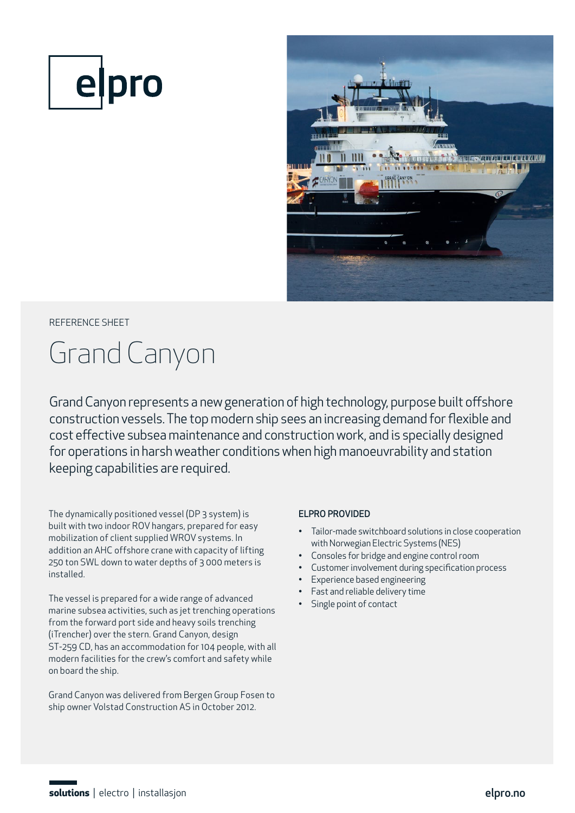



## REFERENCE SHEET

# Grand Canyon

Grand Canyon represents a new generation of high technology, purpose built offshore construction vessels. The top modern ship sees an increasing demand for flexible and cost effective subsea maintenance and construction work, and is specially designed for operations in harsh weather conditions when high manoeuvrability and station keeping capabilities are required.

The dynamically positioned vessel (DP 3 system) is built with two indoor ROV hangars, prepared for easy mobilization of client supplied WROV systems. In addition an AHC offshore crane with capacity of lifting 250 ton SWL down to water depths of 3 000 meters is installed.

The vessel is prepared for a wide range of advanced marine subsea activities, such as jet trenching operations from the forward port side and heavy soils trenching (iTrencher) over the stern. Grand Canyon, design ST-259 CD, has an accommodation for 104 people, with all modern facilities for the crew's comfort and safety while on board the ship.

Grand Canyon was delivered from Bergen Group Fosen to ship owner Volstad Construction AS in October 2012.

#### ELPRO PROVIDED

- Tailor-made switchboard solutions in close cooperation with Norwegian Electric Systems (NES)
- Consoles for bridge and engine control room
- Customer involvement during specification process
- Experience based engineering
- Fast and reliable delivery time
- Single point of contact